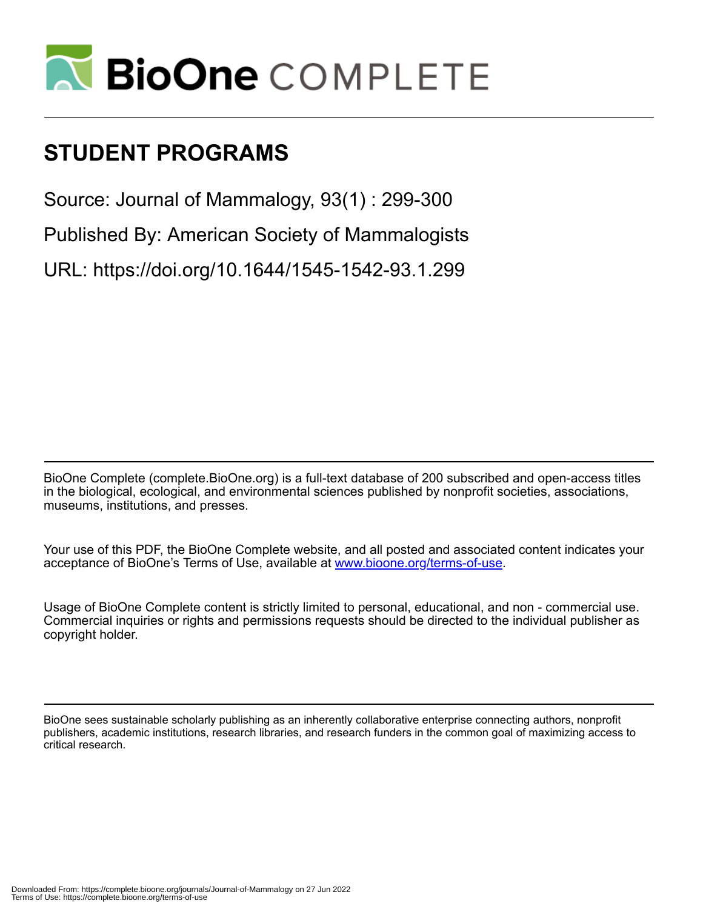

# **STUDENT PROGRAMS**

Source: Journal of Mammalogy, 93(1) : 299-300

Published By: American Society of Mammalogists

URL: https://doi.org/10.1644/1545-1542-93.1.299

BioOne Complete (complete.BioOne.org) is a full-text database of 200 subscribed and open-access titles in the biological, ecological, and environmental sciences published by nonprofit societies, associations, museums, institutions, and presses.

Your use of this PDF, the BioOne Complete website, and all posted and associated content indicates your acceptance of BioOne's Terms of Use, available at www.bioone.org/terms-of-use.

Usage of BioOne Complete content is strictly limited to personal, educational, and non - commercial use. Commercial inquiries or rights and permissions requests should be directed to the individual publisher as copyright holder.

BioOne sees sustainable scholarly publishing as an inherently collaborative enterprise connecting authors, nonprofit publishers, academic institutions, research libraries, and research funders in the common goal of maximizing access to critical research.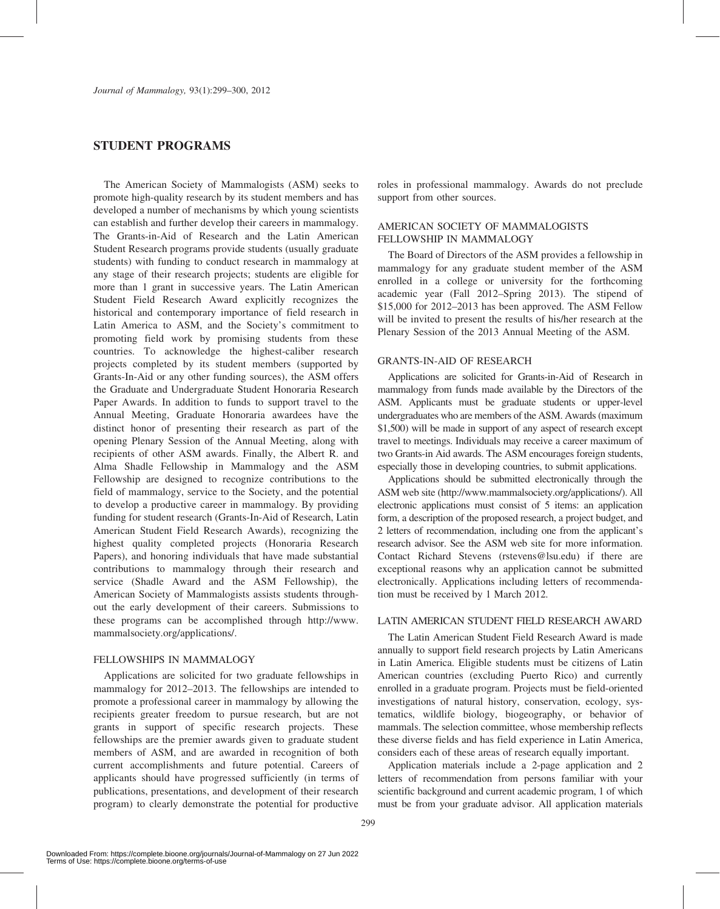## STUDENT PROGRAMS

The American Society of Mammalogists (ASM) seeks to promote high-quality research by its student members and has developed a number of mechanisms by which young scientists can establish and further develop their careers in mammalogy. The Grants-in-Aid of Research and the Latin American Student Research programs provide students (usually graduate students) with funding to conduct research in mammalogy at any stage of their research projects; students are eligible for more than 1 grant in successive years. The Latin American Student Field Research Award explicitly recognizes the historical and contemporary importance of field research in Latin America to ASM, and the Society's commitment to promoting field work by promising students from these countries. To acknowledge the highest-caliber research projects completed by its student members (supported by Grants-In-Aid or any other funding sources), the ASM offers the Graduate and Undergraduate Student Honoraria Research Paper Awards. In addition to funds to support travel to the Annual Meeting, Graduate Honoraria awardees have the distinct honor of presenting their research as part of the opening Plenary Session of the Annual Meeting, along with recipients of other ASM awards. Finally, the Albert R. and Alma Shadle Fellowship in Mammalogy and the ASM Fellowship are designed to recognize contributions to the field of mammalogy, service to the Society, and the potential to develop a productive career in mammalogy. By providing funding for student research (Grants-In-Aid of Research, Latin American Student Field Research Awards), recognizing the highest quality completed projects (Honoraria Research Papers), and honoring individuals that have made substantial contributions to mammalogy through their research and service (Shadle Award and the ASM Fellowship), the American Society of Mammalogists assists students throughout the early development of their careers. Submissions to these programs can be accomplished through http://www. mammalsociety.org/applications/.

#### FELLOWSHIPS IN MAMMALOGY

Applications are solicited for two graduate fellowships in mammalogy for 2012–2013. The fellowships are intended to promote a professional career in mammalogy by allowing the recipients greater freedom to pursue research, but are not grants in support of specific research projects. These fellowships are the premier awards given to graduate student members of ASM, and are awarded in recognition of both current accomplishments and future potential. Careers of applicants should have progressed sufficiently (in terms of publications, presentations, and development of their research program) to clearly demonstrate the potential for productive

roles in professional mammalogy. Awards do not preclude support from other sources.

## AMERICAN SOCIETY OF MAMMALOGISTS FELLOWSHIP IN MAMMALOGY

The Board of Directors of the ASM provides a fellowship in mammalogy for any graduate student member of the ASM enrolled in a college or university for the forthcoming academic year (Fall 2012–Spring 2013). The stipend of \$15,000 for 2012–2013 has been approved. The ASM Fellow will be invited to present the results of his/her research at the Plenary Session of the 2013 Annual Meeting of the ASM.

#### GRANTS-IN-AID OF RESEARCH

Applications are solicited for Grants-in-Aid of Research in mammalogy from funds made available by the Directors of the ASM. Applicants must be graduate students or upper-level undergraduates who are members of the ASM. Awards (maximum \$1,500) will be made in support of any aspect of research except travel to meetings. Individuals may receive a career maximum of two Grants-in Aid awards. The ASM encourages foreign students, especially those in developing countries, to submit applications.

Applications should be submitted electronically through the ASM web site (http://www.mammalsociety.org/applications/). All electronic applications must consist of 5 items: an application form, a description of the proposed research, a project budget, and 2 letters of recommendation, including one from the applicant's research advisor. See the ASM web site for more information. Contact Richard Stevens (rstevens@lsu.edu) if there are exceptional reasons why an application cannot be submitted electronically. Applications including letters of recommendation must be received by 1 March 2012.

### LATIN AMERICAN STUDENT FIELD RESEARCH AWARD

The Latin American Student Field Research Award is made annually to support field research projects by Latin Americans in Latin America. Eligible students must be citizens of Latin American countries (excluding Puerto Rico) and currently enrolled in a graduate program. Projects must be field-oriented investigations of natural history, conservation, ecology, systematics, wildlife biology, biogeography, or behavior of mammals. The selection committee, whose membership reflects these diverse fields and has field experience in Latin America, considers each of these areas of research equally important.

Application materials include a 2-page application and 2 letters of recommendation from persons familiar with your scientific background and current academic program, 1 of which must be from your graduate advisor. All application materials